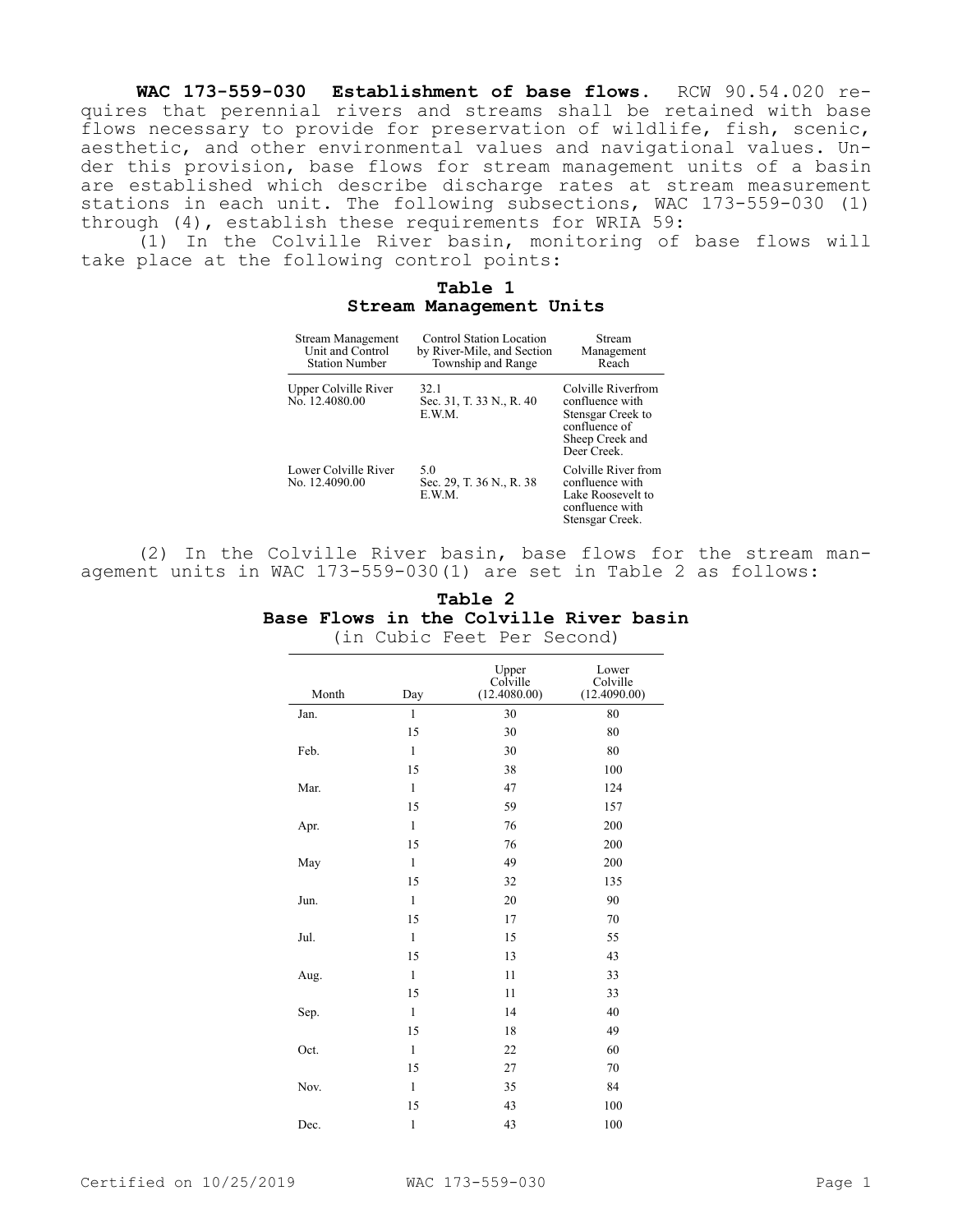**WAC 173-559-030 Establishment of base flows.** RCW 90.54.020 requires that perennial rivers and streams shall be retained with base flows necessary to provide for preservation of wildlife, fish, scenic, aesthetic, and other environmental values and navigational values. Under this provision, base flows for stream management units of a basin are established which describe discharge rates at stream measurement stations in each unit. The following subsections, WAC 173-559-030 (1) through (4), establish these requirements for WRIA 59:

(1) In the Colville River basin, monitoring of base flows will take place at the following control points:

## **Table 1 Stream Management Units**

| <b>Stream Management</b><br>Unit and Control<br><b>Station Number</b> | <b>Control Station Location</b><br>by River-Mile, and Section<br>Township and Range | Stream<br>Management<br>Reach                                                                                 |
|-----------------------------------------------------------------------|-------------------------------------------------------------------------------------|---------------------------------------------------------------------------------------------------------------|
| Upper Colville River<br>No. 12.4080.00                                | 32.1<br>Sec. 31, T. 33 N., R. 40<br>E.W.M.                                          | Colville Riverfrom<br>confluence with<br>Stensgar Creek to<br>confluence of<br>Sheep Creek and<br>Deer Creek. |
| Lower Colville River<br>No. 12.4090.00                                | 5.0<br>Sec. 29, T. 36 N., R. 38<br>E.W.M.                                           | Colville River from<br>confluence with<br>Lake Roosevelt to<br>confluence with<br>Stensgar Creek.             |

(2) In the Colville River basin, base flows for the stream management units in WAC 173-559-030(1) are set in Table 2 as follows:

|  | Table 2 |                                               |  |
|--|---------|-----------------------------------------------|--|
|  |         | <b>Base Flows in the Colville River basin</b> |  |
|  |         | (in Cubic Feet Per Second)                    |  |
|  |         |                                               |  |

| Month | Day          | Upper<br>Colville<br>(12.4080.00) | Lower<br>Colville<br>(12.4090.00) |
|-------|--------------|-----------------------------------|-----------------------------------|
| Jan.  | $\mathbf{1}$ | 30                                | 80                                |
|       | 15           | 30                                | 80                                |
| Feb.  | $\mathbf{1}$ | 30                                | 80                                |
|       | 15           | 38                                | 100                               |
| Mar.  | $\mathbf{1}$ | 47                                | 124                               |
|       | 15           | 59                                | 157                               |
| Apr.  | $\mathbf{1}$ | 76                                | 200                               |
|       | 15           | 76                                | 200                               |
| May   | $\mathbf{1}$ | 49                                | 200                               |
|       | 15           | 32                                | 135                               |
| Jun.  | $\mathbf{1}$ | 20                                | 90                                |
|       | 15           | 17                                | 70                                |
| Jul.  | $\mathbf{1}$ | 15                                | 55                                |
|       | 15           | 13                                | 43                                |
| Aug.  | $\mathbf{1}$ | 11                                | 33                                |
|       | 15           | 11                                | 33                                |
| Sep.  | $\mathbf{1}$ | 14                                | 40                                |
|       | 15           | 18                                | 49                                |
| Oct.  | $\mathbf{1}$ | 22                                | 60                                |
|       | 15           | 27                                | 70                                |
| Nov.  | $\mathbf{1}$ | 35                                | 84                                |
|       | 15           | 43                                | 100                               |
| Dec.  | $\mathbf{1}$ | 43                                | 100                               |